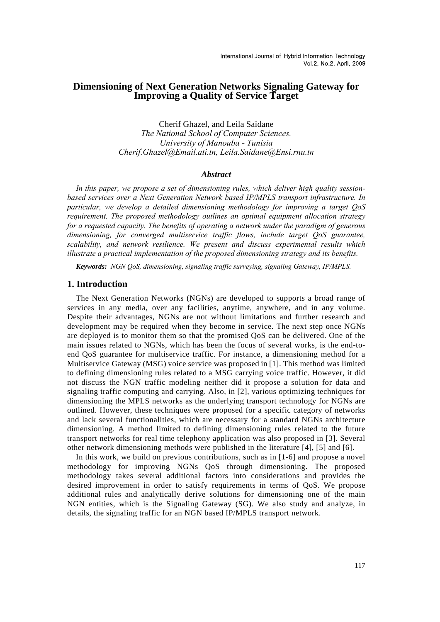# **Dimensioning of Next Generation Networks Signaling Gateway for Improving a Quality of Service Target**

Cherif Ghazel, and Leila Saïdane *The National School of Computer Sciences. University of Manouba - Tunisia Cherif.Ghazel@Email.ati.tn, Leila.Saidane@Ensi.rnu.tn* 

## *Abstract*

*In this paper, we propose a set of dimensioning rules, which deliver high quality sessionbased services over a Next Generation Network based IP/MPLS transport infrastructure. In particular, we develop a detailed dimensioning methodology for improving a target QoS requirement. The proposed methodology outlines an optimal equipment allocation strategy for a requested capacity. The benefits of operating a network under the paradigm of generous dimensioning, for converged multiservice traffic flows, include target QoS guarantee, scalability, and network resilience. We present and discuss experimental results which illustrate a practical implementation of the proposed dimensioning strategy and its benefits.* 

*Keywords: NGN QoS, dimensioning, signaling traffic surveying, signaling Gateway, IP/MPLS.* 

## **1. Introduction**

The Next Generation Networks (NGNs) are developed to supports a broad range of services in any media, over any facilities, anytime, anywhere, and in any volume. Despite their advantages, NGNs are not without limitations and further research and development may be required when they become in service. The next step once NGNs are deployed is to monitor them so that the promised QoS can be delivered. One of the main issues related to NGNs, which has been the focus of several works, is the end-toend QoS guarantee for multiservice traffic. For instance, a dimensioning method for a Multiservice Gateway (MSG) voice service was proposed in [1]. This method was limited to defining dimensioning rules related to a MSG carrying voice traffic. However, it did not discuss the NGN traffic modeling neither did it propose a solution for data and signaling traffic computing and carrying. Also, in [2], various optimizing techniques for dimensioning the MPLS networks as the underlying transport technology for NGNs are outlined. However, these techniques were proposed for a specific category of networks and lack several functionalities, which are necessary for a standard NGNs architecture dimensioning. A method limited to defining dimensioning rules related to the future transport networks for real time telephony application was also proposed in [3]. Several other network dimensioning methods were published in the literature [4], [5] and [6].

In this work, we build on previous contributions, such as in [1-6] and propose a novel methodology for improving NGNs QoS through dimensioning. The proposed methodology takes several additional factors into considerations and provides the desired improvement in order to satisfy requirements in terms of QoS. We propose additional rules and analytically derive solutions for dimensioning one of the main NGN entities, which is the Signaling Gateway (SG). We also study and analyze, in details, the signaling traffic for an NGN based IP/MPLS transport network.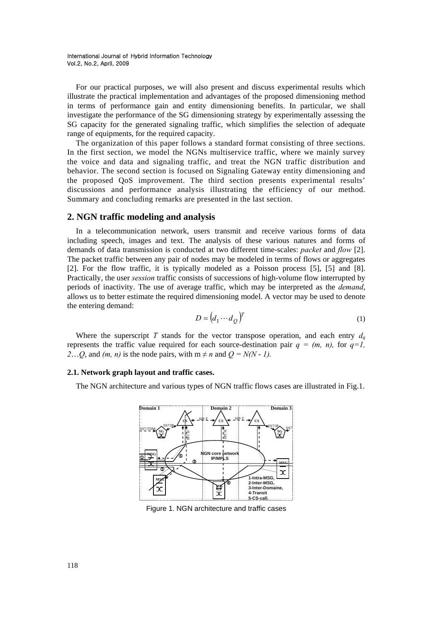For our practical purposes, we will also present and discuss experimental results which illustrate the practical implementation and advantages of the proposed dimensioning method in terms of performance gain and entity dimensioning benefits. In particular, we shall investigate the performance of the SG dimensioning strategy by experimentally assessing the SG capacity for the generated signaling traffic, which simplifies the selection of adequate range of equipments, for the required capacity.

The organization of this paper follows a standard format consisting of three sections. In the first section, we model the NGNs multiservice traffic, where we mainly survey the voice and data and signaling traffic, and treat the NGN traffic distribution and behavior. The second section is focused on Signaling Gateway entity dimensioning and the proposed QoS improvement. The third section presents experimental results' discussions and performance analysis illustrating the efficiency of our method. Summary and concluding remarks are presented in the last section.

## **2. NGN traffic modeling and analysis**

In a telecommunication network, users transmit and receive various forms of data including speech, images and text. The analysis of these various natures and forms of demands of data transmission is conducted at two different time-scales: *packet* and *flow* [2]. The packet traffic between any pair of nodes may be modeled in terms of flows or aggregates [2]. For the flow traffic, it is typically modeled as a Poisson process [5], [5] and [8]. Practically, the user *session* traffic consists of successions of high-volume flow interrupted by periods of inactivity. The use of average traffic, which may be interpreted as the *demand*, allows us to better estimate the required dimensioning model. A vector may be used to denote the entering demand:

$$
D = (d_1 \cdots d_Q)^T \tag{1}
$$

Where the superscript *T* stands for the vector transpose operation, and each entry  $d_a$ represents the traffic value required for each source-destination pair  $q = (m, n)$ , for  $q=1$ , *2…Q*, and *(m, n)* is the node pairs, with  $m \neq n$  and  $Q = N(N - 1)$ .

### **2.1. Network graph layout and traffic cases.**

The NGN architecture and various types of NGN traffic flows cases are illustrated in Fig.1.



Figure 1. NGN architecture and traffic cases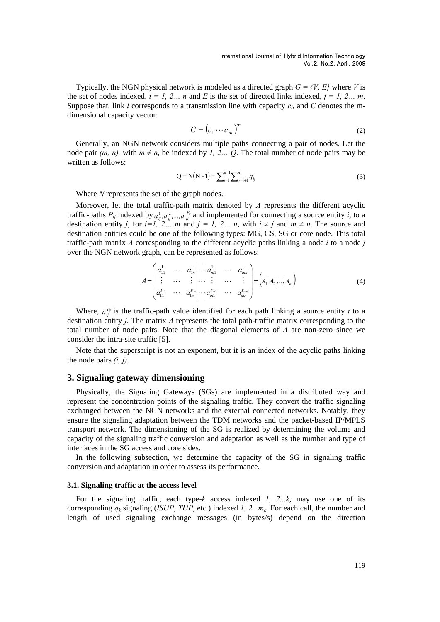Typically, the NGN physical network is modeled as a directed graph  $G = \{V, E\}$  where *V* is the set of nodes indexed,  $i = 1, 2...$  *n* and *E* is the set of directed links indexed,  $j = 1, 2...$  *m*. Suppose that, link *l* corresponds to a transmission line with capacity  $c_l$ , and *C* denotes the mdimensional capacity vector:

$$
C = (c_1 \cdots c_m)^T
$$
 (2)

Generally, an NGN network considers multiple paths connecting a pair of nodes. Let the node pair *(m, n)*, with  $m \neq n$ , be indexed by *1, 2... O*. The total number of node pairs may be written as follows:

$$
Q = N(N-1) = \sum_{i=1}^{n-1} \sum_{j=i+1}^{n} q_{ij}
$$
 (3)

Where *N* represents the set of the graph nodes.

Moreover, let the total traffic-path matrix denoted by *A* represents the different acyclic traffic-paths  $P_{ij}$  indexed by  $a_{ij}^1, a_{ij}^2, ..., a_{ij}^p$  and implemented for connecting a source entity *i*, to a destination entity *j*, for  $i=1, 2...$  *m* and  $j = 1, 2...$  *n*, with  $i \neq j$  and  $m \neq n$ . The source and destination entities could be one of the following types: MG, CS, SG or core node. This total traffic-path matrix *A* corresponding to the different acyclic paths linking a node *i* to a node *j* over the NGN network graph, can be represented as follows:

$$
A = \begin{pmatrix} a_{11}^1 & \cdots & a_{1n}^1 \cdots & a_{nn}^1 \\ \vdots & \cdots & \vdots & \vdots \\ a_{11}^{R_{11}} & \cdots & a_{1n}^{R_{1n}} \cdots & a_{nn}^{R_{nn}} \end{pmatrix} \cdots \begin{pmatrix} a_{mn}^1 & \cdots & a_{mn}^1 \\ \vdots & \cdots & \vdots \\ a_{mn}^{R_{nn}} & \cdots & a_{mn}^{R_{nn}} \end{pmatrix} = (A_1 | A_2 | \cdots | A_m)
$$
 (4)

Where,  $a_{ij}^{P_{ij}}$  is the traffic-path value identified for each path linking a source entity *i* to a destination entity *j*. The matrix *A* represents the total path-traffic matrix corresponding to the total number of node pairs. Note that the diagonal elements of *A* are non-zero since we consider the intra-site traffic [5].

Note that the superscript is not an exponent, but it is an index of the acyclic paths linking the node pairs *(i, j)*.

# **3. Signaling gateway dimensioning**

Physically, the Signaling Gateways (SGs) are implemented in a distributed way and represent the concentration points of the signaling traffic. They convert the traffic signaling exchanged between the NGN networks and the external connected networks. Notably, they ensure the signaling adaptation between the TDM networks and the packet-based IP/MPLS transport network. The dimensioning of the SG is realized by determining the volume and capacity of the signaling traffic conversion and adaptation as well as the number and type of interfaces in the SG access and core sides.

In the following subsection, we determine the capacity of the SG in signaling traffic conversion and adaptation in order to assess its performance.

## **3.1. Signaling traffic at the access level**

For the signaling traffic, each type*-k* access indexed *1, 2...k*, may use one of its corresponding  $q_k$  signaling *(ISUP, TUP, etc.)* indexed *1, 2...m<sub>k</sub>*. For each call, the number and length of used signaling exchange messages (in bytes/s) depend on the direction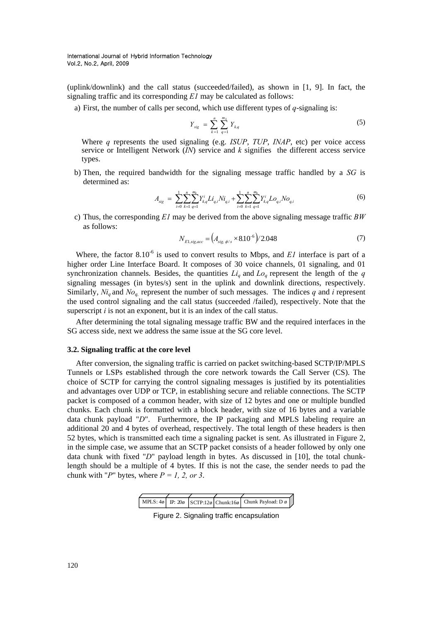(uplink/downlink) and the call status (succeeded/failed), as shown in [1, 9]. In fact, the signaling traffic and its corresponding *E1* may be calculated as follows:

a) First, the number of calls per second, which use different types of *q*-signaling is:

$$
Y_{sig} = \sum_{k=1}^{n} \sum_{q=1}^{m_k} Y_{k,q}
$$
 (5)

Where *q* represents the used signaling (e.g. *ISUP*, *TUP*, *INAP*, etc) per voice access service or Intelligent Network (*IN*) service and *k* signifies the different access service types.

b) Then, the required bandwidth for the signaling message traffic handled by a *SG* is determined as:

$$
A_{sig} = \sum_{i=0}^{1} \sum_{k=1}^{n} \sum_{q=1}^{m_k} Y_{k,q}^i L i_{q,i} N i_{q,i} + \sum_{i=0}^{1} \sum_{k=1}^{n} \sum_{q=1}^{m_k} Y_{k,q}^i L o_{q,i} N o_{q,i}
$$
(6)

c) Thus, the corresponding *E1* may be derived from the above signaling message traffic *BW* as follows:

$$
N_{E1, sig, acc} = (A_{sig, \phi/s} \times 8.10^{-6}) / 2.048 \tag{7}
$$

Where, the factor  $8.10^{-6}$  is used to convert results to Mbps, and *E1* interface is part of a higher order Line Interface Board. It composes of 30 voice channels, 01 signaling, and 01 synchronization channels. Besides, the quantities  $Li_q$  and  $Lo_q$  represent the length of the *q* signaling messages (in bytes/s) sent in the uplink and downlink directions, respectively. Similarly,  $Ni<sub>a</sub>$  and  $No<sub>a</sub>$  represent the number of such messages. The indices *q* and *i* represent the used control signaling and the call status (succeeded /failed), respectively. Note that the superscript *i* is not an exponent, but it is an index of the call status.

After determining the total signaling message traffic BW and the required interfaces in the SG access side, next we address the same issue at the SG core level.

### **3.2. Signaling traffic at the core level**

After conversion, the signaling traffic is carried on packet switching-based SCTP/IP/MPLS Tunnels or LSPs established through the core network towards the Call Server (CS). The choice of SCTP for carrying the control signaling messages is justified by its potentialities and advantages over UDP or TCP, in establishing secure and reliable connections. The SCTP packet is composed of a common header, with size of 12 bytes and one or multiple bundled chunks. Each chunk is formatted with a block header, with size of 16 bytes and a variable data chunk payload "*D*". Furthermore, the IP packaging and MPLS labeling require an additional 20 and 4 bytes of overhead, respectively. The total length of these headers is then 52 bytes, which is transmitted each time a signaling packet is sent. As illustrated in Figure 2, in the simple case, we assume that an SCTP packet consists of a header followed by only one data chunk with fixed "*D*" payload length in bytes. As discussed in [10], the total chunklength should be a multiple of 4 bytes. If this is not the case, the sender needs to pad the chunk with "*P*" bytes, where  $P = 1$ , 2, or 3.



Figure 2. Signaling traffic encapsulation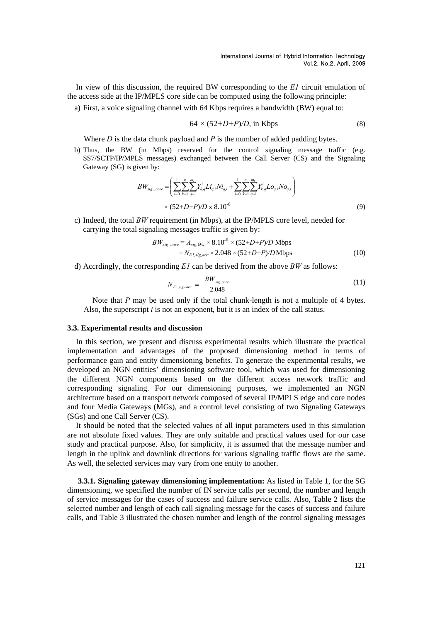In view of this discussion, the required BW corresponding to the *E1* circuit emulation of the access side at the IP/MPLS core side can be computed using the following principle:

a) First, a voice signaling channel with 64 Kbps requires a bandwidth (BW) equal to:

$$
64 \times (52+D+P)/D, \text{ in Kbps} \tag{8}
$$

Where *D* is the data chunk payload and *P* is the number of added padding bytes.

b) Thus, the BW (in Mbps) reserved for the control signaling message traffic (e.g. SS7/SCTP/IP/MPLS messages) exchanged between the Call Server (CS) and the Signaling Gateway (SG) is given by:

$$
BW_{sig\_core} = \left(\sum_{i=0}^{1} \sum_{k=1}^{n} \sum_{q=1}^{m_k} Y_{k,q}^i Li_{q,i} Ni_{q,i} + \sum_{i=0}^{1} \sum_{k=1}^{n} \sum_{q=1}^{m_k} Y_{k,q}^i Lo_{q,i} No_{q,i}\right) \times (52+D+P)/D \times 8.10^{-6}
$$
\n(9)

c) Indeed, the total *BW* requirement (in Mbps), at the IP/MPLS core level, needed for carrying the total signaling messages traffic is given by:

$$
BW_{sig\_core} = A_{sig, \emptyset/s} \times 8.10^{-6} \times (52+D+P)/D \text{ Mbps}
$$
  
=  $N_{E1, sig, acc} \times 2.048 \times (52+D+P)/D \text{ Mbps}$  (10)

d) Accrdingly, the corresponding *E1* can be derived from the above *BW* as follows:

$$
N_{E1, sig, core} = \frac{BW_{sig\_core}}{2.048} \tag{11}
$$

Note that *P* may be used only if the total chunk-length is not a multiple of 4 bytes. Also, the superscript *i* is not an exponent, but it is an index of the call status.

## **3.3. Experimental results and discussion**

In this section, we present and discuss experimental results which illustrate the practical implementation and advantages of the proposed dimensioning method in terms of performance gain and entity dimensioning benefits. To generate the experimental results, we developed an NGN entities' dimensioning software tool, which was used for dimensioning the different NGN components based on the different access network traffic and corresponding signaling. For our dimensioning purposes, we implemented an NGN architecture based on a transport network composed of several IP/MPLS edge and core nodes and four Media Gateways (MGs), and a control level consisting of two Signaling Gateways (SGs) and one Call Server (CS).

It should be noted that the selected values of all input parameters used in this simulation are not absolute fixed values. They are only suitable and practical values used for our case study and practical purpose. Also, for simplicity, it is assumed that the message number and length in the uplink and downlink directions for various signaling traffic flows are the same. As well, the selected services may vary from one entity to another.

**3.3.1. Signaling gateway dimensioning implementation:** As listed in Table 1, for the SG dimensioning, we specified the number of IN service calls per second, the number and length of service messages for the cases of success and failure service calls. Also, Table 2 lists the selected number and length of each call signaling message for the cases of success and failure calls, and Table 3 illustrated the chosen number and length of the control signaling messages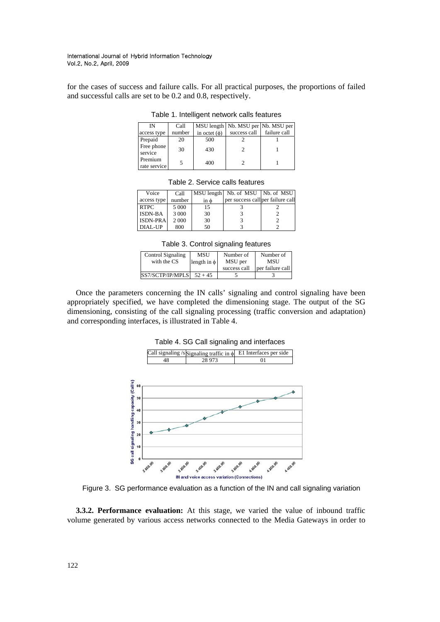for the cases of success and failure calls. For all practical purposes, the proportions of failed and successful calls are set to be 0.2 and 0.8, respectively.

| IN                      | Call   |                   | MSU length   Nb. MSU per   Nb. MSU per |              |
|-------------------------|--------|-------------------|----------------------------------------|--------------|
| access type             | number | in octet $(\phi)$ | success call                           | failure call |
| Prepaid                 | 20     | 500               |                                        |              |
| Free phone<br>service   | 30     | 430               | ∍                                      |              |
| Premium<br>rate service |        | 400               |                                        |              |

Table 1. Intelligent network calls features

### Table 2. Service calls features

| Voice           | Call    | MSU length  | Nb. of MSU Nb. of MSU             |  |
|-----------------|---------|-------------|-----------------------------------|--|
| access type     | number  | $\sin \phi$ | per success call per failure call |  |
| <b>RTPC</b>     | 5 0 0 0 | 15          |                                   |  |
| <b>ISDN-BA</b>  | 3 0 0 0 | 30          |                                   |  |
| <b>ISDN-PRA</b> | 2 0 0 0 | 30          |                                   |  |
| DIAL-UP         | 800     | 50          |                                   |  |

Table 3. Control signaling features

| Control Signaling        | MSU              | Number of    | Number of        |
|--------------------------|------------------|--------------|------------------|
| with the CS              | length in $\phi$ | MSU per      | MSU              |
|                          |                  | success call | per failure call |
| <b>ISS7/SCTP/IP/MPLS</b> | $52 + 45$        |              |                  |

Once the parameters concerning the IN calls' signaling and control signaling have been appropriately specified, we have completed the dimensioning stage. The output of the SG dimensioning, consisting of the call signaling processing (traffic conversion and adaptation) and corresponding interfaces, is illustrated in Table 4.





Figure 3. SG performance evaluation as a function of the IN and call signaling variation

**3.3.2. Performance evaluation:** At this stage, we varied the value of inbound traffic volume generated by various access networks connected to the Media Gateways in order to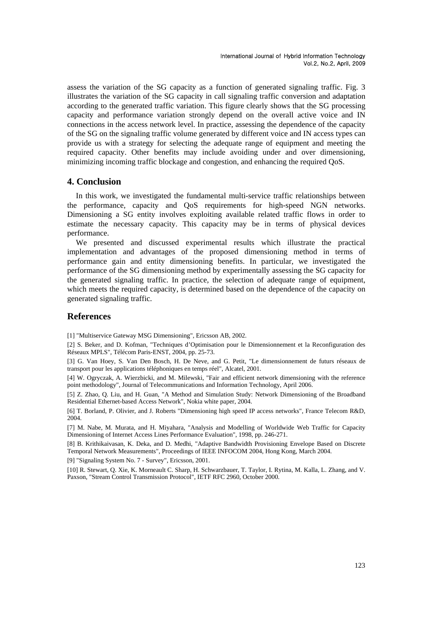assess the variation of the SG capacity as a function of generated signaling traffic. Fig. 3 illustrates the variation of the SG capacity in call signaling traffic conversion and adaptation according to the generated traffic variation. This figure clearly shows that the SG processing capacity and performance variation strongly depend on the overall active voice and IN connections in the access network level. In practice, assessing the dependence of the capacity of the SG on the signaling traffic volume generated by different voice and IN access types can provide us with a strategy for selecting the adequate range of equipment and meeting the required capacity. Other benefits may include avoiding under and over dimensioning, minimizing incoming traffic blockage and congestion, and enhancing the required QoS.

# **4. Conclusion**

In this work, we investigated the fundamental multi-service traffic relationships between the performance, capacity and QoS requirements for high-speed NGN networks. Dimensioning a SG entity involves exploiting available related traffic flows in order to estimate the necessary capacity. This capacity may be in terms of physical devices performance.

We presented and discussed experimental results which illustrate the practical implementation and advantages of the proposed dimensioning method in terms of performance gain and entity dimensioning benefits. In particular, we investigated the performance of the SG dimensioning method by experimentally assessing the SG capacity for the generated signaling traffic. In practice, the selection of adequate range of equipment, which meets the required capacity, is determined based on the dependence of the capacity on generated signaling traffic.

# **References**

[1] "Multiservice Gateway MSG Dimensioning", Ericsson AB, 2002.

[2] S. Beker, and D. Kofman, "Techniques d'Optimisation pour le Dimensionnement et la Reconfiguration des Réseaux MPLS", Télécom Paris-ENST, 2004, pp. 25-73.

[3] G. Van Hoey, S. Van Den Bosch, H. De Neve, and G. Petit, "Le dimensionnement de futurs réseaux de transport pour les applications téléphoniques en temps réel", Alcatel, 2001.

[4] W. Ogryczak, A. Wierzbicki, and M. Milewski, "Fair and efficient network dimensioning with the reference point methodology", Journal of Telecommunications and Information Technology, April 2006.

[5] Z. Zhao, Q. Liu, and H. Guan, "A Method and Simulation Study: Network Dimensioning of the Broadband Residential Ethernet-based Access Network", Nokia white paper, 2004.

[6] T. Borland, P. Olivier, and J. Roberts "Dimensioning high speed IP access networks", France Telecom R&D, 2004.

[7] M. Nabe, M. Murata, and H. Miyahara, "Analysis and Modelling of Worldwide Web Traffic for Capacity Dimensioning of Internet Access Lines Performance Evaluation", 1998, pp. 246-271.

[8] B. Krithikaivasan, K. Deka, and D. Medhi, "Adaptive Bandwidth Provisioning Envelope Based on Discrete Temporal Network Measurements", Proceedings of IEEE INFOCOM 2004, Hong Kong, March 2004.

[9] "Signaling System No. 7 - Survey", Ericsson, 2001.

[10] R. Stewart, Q. Xie, K. Morneault C. Sharp, H. Schwarzbauer, T. Taylor, I. Rytina, M. Kalla, L. Zhang, and V. Paxson, "Stream Control Transmission Protocol", IETF RFC 2960, October 2000.